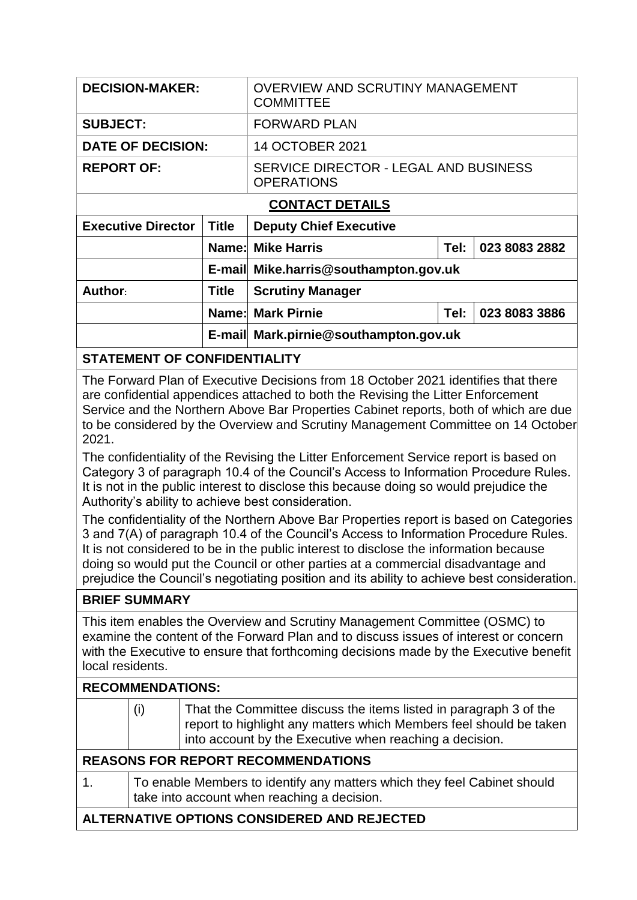| <b>DECISION-MAKER:</b>    |              | <b>OVERVIEW AND SCRUTINY MANAGEMENT</b><br><b>COMMITTEE</b> |      |               |  |  |
|---------------------------|--------------|-------------------------------------------------------------|------|---------------|--|--|
| <b>SUBJECT:</b>           |              | <b>FORWARD PLAN</b>                                         |      |               |  |  |
| <b>DATE OF DECISION:</b>  |              | 14 OCTOBER 2021                                             |      |               |  |  |
| <b>REPORT OF:</b>         |              | SERVICE DIRECTOR - LEGAL AND BUSINESS<br><b>OPERATIONS</b>  |      |               |  |  |
| <b>CONTACT DETAILS</b>    |              |                                                             |      |               |  |  |
| <b>Executive Director</b> | <b>Title</b> | <b>Deputy Chief Executive</b>                               |      |               |  |  |
|                           |              | <b>Name: Mike Harris</b>                                    | Tel: | 023 8083 2882 |  |  |
|                           |              | E-mail Mike.harris@southampton.gov.uk                       |      |               |  |  |
| Author:                   | <b>Title</b> | <b>Scrutiny Manager</b>                                     |      |               |  |  |
|                           |              | <b>Name: Mark Pirnie</b>                                    | Tel: | 023 8083 3886 |  |  |
|                           |              | E-mail Mark.pirnie@southampton.gov.uk                       |      |               |  |  |

**STATEMENT OF CONFIDENTIALITY**

The Forward Plan of Executive Decisions from 18 October 2021 identifies that there are confidential appendices attached to both the Revising the Litter Enforcement Service and the Northern Above Bar Properties Cabinet reports, both of which are due to be considered by the Overview and Scrutiny Management Committee on 14 October 2021.

The confidentiality of the Revising the Litter Enforcement Service report is based on Category 3 of paragraph 10.4 of the Council's Access to Information Procedure Rules. It is not in the public interest to disclose this because doing so would prejudice the Authority's ability to achieve best consideration.

The confidentiality of the Northern Above Bar Properties report is based on Categories 3 and 7(A) of paragraph 10.4 of the Council's Access to Information Procedure Rules. It is not considered to be in the public interest to disclose the information because doing so would put the Council or other parties at a commercial disadvantage and prejudice the Council's negotiating position and its ability to achieve best consideration.

## **BRIEF SUMMARY**

This item enables the Overview and Scrutiny Management Committee (OSMC) to examine the content of the Forward Plan and to discuss issues of interest or concern with the Executive to ensure that forthcoming decisions made by the Executive benefit local residents.

## **RECOMMENDATIONS:**

|                                             | (i)                                                                                                                     | That the Committee discuss the items listed in paragraph 3 of the<br>report to highlight any matters which Members feel should be taken<br>into account by the Executive when reaching a decision. |  |  |
|---------------------------------------------|-------------------------------------------------------------------------------------------------------------------------|----------------------------------------------------------------------------------------------------------------------------------------------------------------------------------------------------|--|--|
| <b>REASONS FOR REPORT RECOMMENDATIONS</b>   |                                                                                                                         |                                                                                                                                                                                                    |  |  |
| $\mathbf{1}$ .                              | To enable Members to identify any matters which they feel Cabinet should<br>take into account when reaching a decision. |                                                                                                                                                                                                    |  |  |
| ALTERNATIVE OPTIONS CONSIDERED AND REJECTED |                                                                                                                         |                                                                                                                                                                                                    |  |  |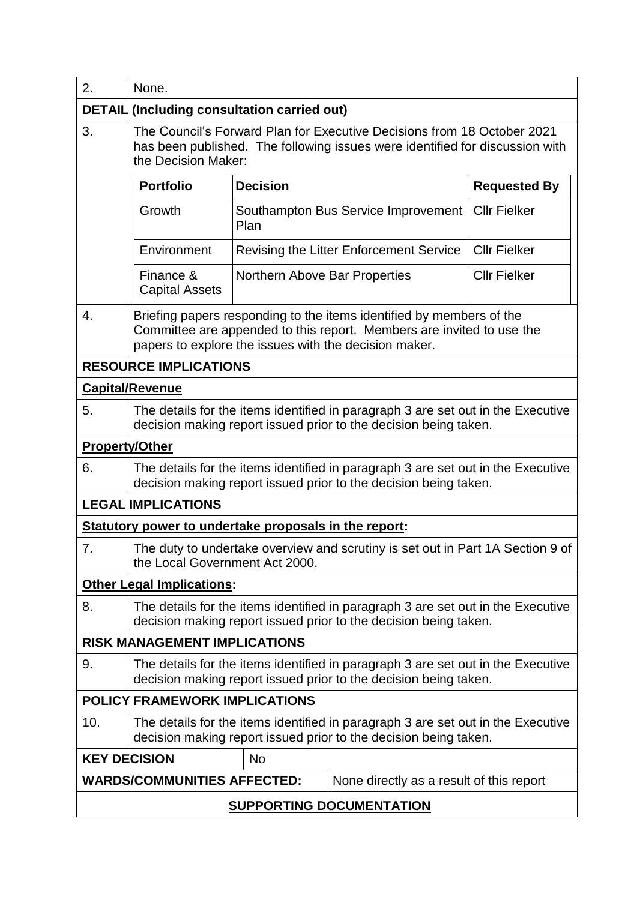| 2.                                                                                                                                                          | None.                                                                                                                                                                                                  |                               |                                         |                     |  |  |  |
|-------------------------------------------------------------------------------------------------------------------------------------------------------------|--------------------------------------------------------------------------------------------------------------------------------------------------------------------------------------------------------|-------------------------------|-----------------------------------------|---------------------|--|--|--|
| <b>DETAIL (Including consultation carried out)</b>                                                                                                          |                                                                                                                                                                                                        |                               |                                         |                     |  |  |  |
| 3.                                                                                                                                                          | The Council's Forward Plan for Executive Decisions from 18 October 2021<br>has been published. The following issues were identified for discussion with<br>the Decision Maker:                         |                               |                                         |                     |  |  |  |
|                                                                                                                                                             | <b>Portfolio</b>                                                                                                                                                                                       | <b>Decision</b>               |                                         | <b>Requested By</b> |  |  |  |
|                                                                                                                                                             | Growth                                                                                                                                                                                                 | Plan                          | Southampton Bus Service Improvement     | <b>Cllr Fielker</b> |  |  |  |
|                                                                                                                                                             | Environment                                                                                                                                                                                            |                               | Revising the Litter Enforcement Service | <b>Cllr Fielker</b> |  |  |  |
|                                                                                                                                                             | Finance &<br><b>Capital Assets</b>                                                                                                                                                                     | Northern Above Bar Properties |                                         | <b>Cllr Fielker</b> |  |  |  |
| 4.                                                                                                                                                          | Briefing papers responding to the items identified by members of the<br>Committee are appended to this report. Members are invited to use the<br>papers to explore the issues with the decision maker. |                               |                                         |                     |  |  |  |
|                                                                                                                                                             | <b>RESOURCE IMPLICATIONS</b>                                                                                                                                                                           |                               |                                         |                     |  |  |  |
|                                                                                                                                                             | <b>Capital/Revenue</b>                                                                                                                                                                                 |                               |                                         |                     |  |  |  |
| 5.                                                                                                                                                          | The details for the items identified in paragraph 3 are set out in the Executive<br>decision making report issued prior to the decision being taken.                                                   |                               |                                         |                     |  |  |  |
| <b>Property/Other</b>                                                                                                                                       |                                                                                                                                                                                                        |                               |                                         |                     |  |  |  |
| 6.                                                                                                                                                          | The details for the items identified in paragraph 3 are set out in the Executive<br>decision making report issued prior to the decision being taken.                                                   |                               |                                         |                     |  |  |  |
|                                                                                                                                                             | <b>LEGAL IMPLICATIONS</b>                                                                                                                                                                              |                               |                                         |                     |  |  |  |
|                                                                                                                                                             | Statutory power to undertake proposals in the report:                                                                                                                                                  |                               |                                         |                     |  |  |  |
| 7.                                                                                                                                                          | The duty to undertake overview and scrutiny is set out in Part 1A Section 9 of<br>the Local Government Act 2000.                                                                                       |                               |                                         |                     |  |  |  |
|                                                                                                                                                             | <b>Other Legal Implications:</b>                                                                                                                                                                       |                               |                                         |                     |  |  |  |
| 8.                                                                                                                                                          | The details for the items identified in paragraph 3 are set out in the Executive<br>decision making report issued prior to the decision being taken.                                                   |                               |                                         |                     |  |  |  |
|                                                                                                                                                             | <b>RISK MANAGEMENT IMPLICATIONS</b>                                                                                                                                                                    |                               |                                         |                     |  |  |  |
| 9.                                                                                                                                                          | The details for the items identified in paragraph 3 are set out in the Executive<br>decision making report issued prior to the decision being taken.                                                   |                               |                                         |                     |  |  |  |
| <b>POLICY FRAMEWORK IMPLICATIONS</b>                                                                                                                        |                                                                                                                                                                                                        |                               |                                         |                     |  |  |  |
| 10.<br>The details for the items identified in paragraph 3 are set out in the Executive<br>decision making report issued prior to the decision being taken. |                                                                                                                                                                                                        |                               |                                         |                     |  |  |  |
| <b>KEY DECISION</b><br><b>No</b>                                                                                                                            |                                                                                                                                                                                                        |                               |                                         |                     |  |  |  |
| <b>WARDS/COMMUNITIES AFFECTED:</b><br>None directly as a result of this report                                                                              |                                                                                                                                                                                                        |                               |                                         |                     |  |  |  |
| <b>SUPPORTING DOCUMENTATION</b>                                                                                                                             |                                                                                                                                                                                                        |                               |                                         |                     |  |  |  |